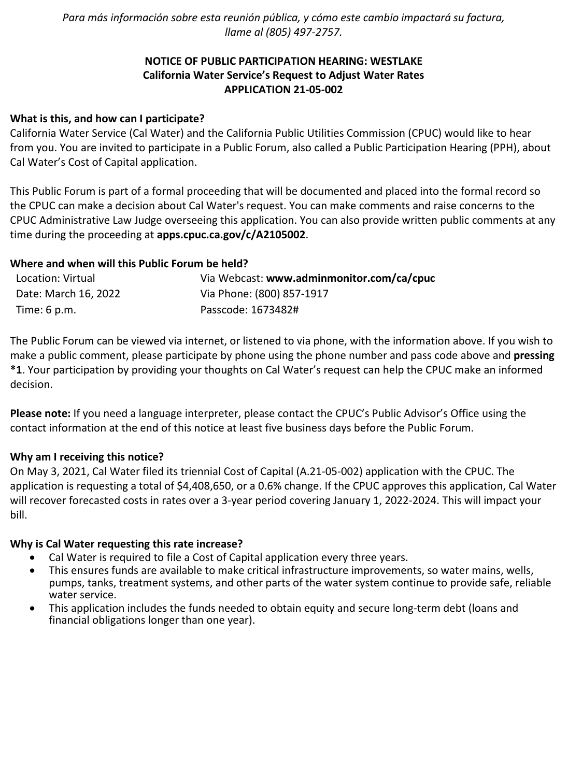*Para más información sobre esta reunión pública, y cómo este cambio impactará su factura, llame al (805) 497-2757.*

# **NOTICE OF PUBLIC PARTICIPATION HEARING: WESTLAKE California Water Service's Request to Adjust Water Rates APPLICATION 21-05-002**

# **What is this, and how can I participate?**

California Water Service (Cal Water) and the California Public Utilities Commission (CPUC) would like to hear from you. You are invited to participate in a Public Forum, also called a Public Participation Hearing (PPH), about Cal Water's Cost of Capital application.

This Public Forum is part of a formal proceeding that will be documented and placed into the formal record so the CPUC can make a decision about Cal Water's request. You can make comments and raise concerns to the CPUC Administrative Law Judge overseeing this application. You can also provide written public comments at any time during the proceeding at **[apps.cpuc.ca.gov/c/A2105002](https://apps.cpuc.ca.gov/apex/f?p=401:65:0::NO:RP,57,RIR:P5_PROCEEDING_SELECT:A2105002)**.

## **Where and when will this Public Forum be held?**

| Location: Virtual      | Via Webcast: www.adminmonitor.com/ca/cpuc |
|------------------------|-------------------------------------------|
| Date: March 16, 2022   | Via Phone: (800) 857-1917                 |
| Time: $6 \text{ p.m.}$ | Passcode: 1673482#                        |

The Public Forum can be viewed via internet, or listened to via phone, with the information above. If you wish to make a public comment, please participate by phone using the phone number and pass code above and **pressing \*1**. Your participation by providing your thoughts on Cal Water's request can help the CPUC make an informed decision.

**Please note:** If you need a language interpreter, please contact the CPUC's Public Advisor's Office using the contact information at the end of this notice at least five business days before the Public Forum.

#### **Why am I receiving this notice?**

On May 3, 2021, Cal Water filed its triennial Cost of Capital (A.21-05-002) application with the CPUC. The application is requesting a total of \$4,408,650, or a 0.6% change. If the CPUC approves this application, Cal Water will recover forecasted costs in rates over a 3-year period covering January 1, 2022-2024. This will impact your bill.

#### **Why is Cal Water requesting this rate increase?**

- Cal Water is required to file a Cost of Capital application every three years.
- This ensures funds are available to make critical infrastructure improvements, so water mains, wells, pumps, tanks, treatment systems, and other parts of the water system continue to provide safe, reliable water service.
- This application includes the funds needed to obtain equity and secure long-term debt (loans and financial obligations longer than one year).